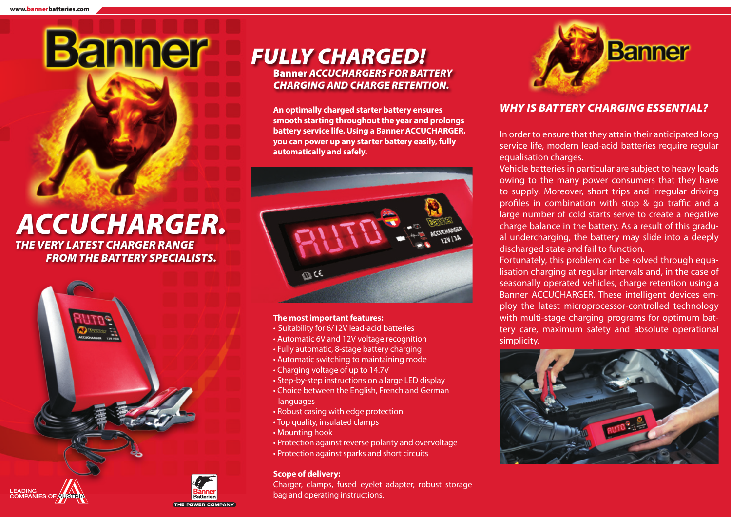# *ACCUCHARGER.*

**Banner** 

*THE VERY LATEST CHARGER RANGE FROM THE BATTERY SPECIALISTS.*



# *FULLY CHARGED!* Banner *ACCUCHARGERS FOR BATTERY CHARGING AND CHARGE RETENTION.*

**An optimally charged starter battery ensures smooth starting throughout the year and prolongs battery service life. Using a Banner ACCUCHARGER, you can power up any starter battery easily, fully automatically and safely.** 



#### **The most important features:**

- Suitability for 6/12V lead-acid batteries
- Automatic 6V and 12V voltage recognition
- Fully automatic, 8-stage battery charging
- Automatic switching to maintaining mode
- Charging voltage of up to 14.7V
- Step-by-step instructions on a large LED display
- Choice between the English, French and German languages
- Robust casing with edge protection
- Top quality, insulated clamps
- Mounting hook
- Protection against reverse polarity and overvoltage • Protection against sparks and short circuits

#### **Scope of delivery:**

Charger, clamps, fused eyelet adapter, robust storage bag and operating instructions.



# *WHY IS BATTERY CHARGING ESSENTIAL?*

In order to ensure that they attain their anticipated long service life, modern lead-acid batteries require regular equalisation charges.

Vehicle batteries in particular are subject to heavy loads owing to the many power consumers that they have to supply. Moreover, short trips and irregular driving profiles in combination with stop & go traffic and a large number of cold starts serve to create a negative charge balance in the battery. As a result of this gradual undercharging, the battery may slide into a deeply discharged state and fail to function.

Fortunately, this problem can be solved through equalisation charging at regular intervals and, in the case of seasonally operated vehicles, charge retention using a Banner ACCUCHARGER. These intelligent devices employ the latest microprocessor-controlled technology with multi-stage charging programs for optimum battery care, maximum safety and absolute operational simplicity.